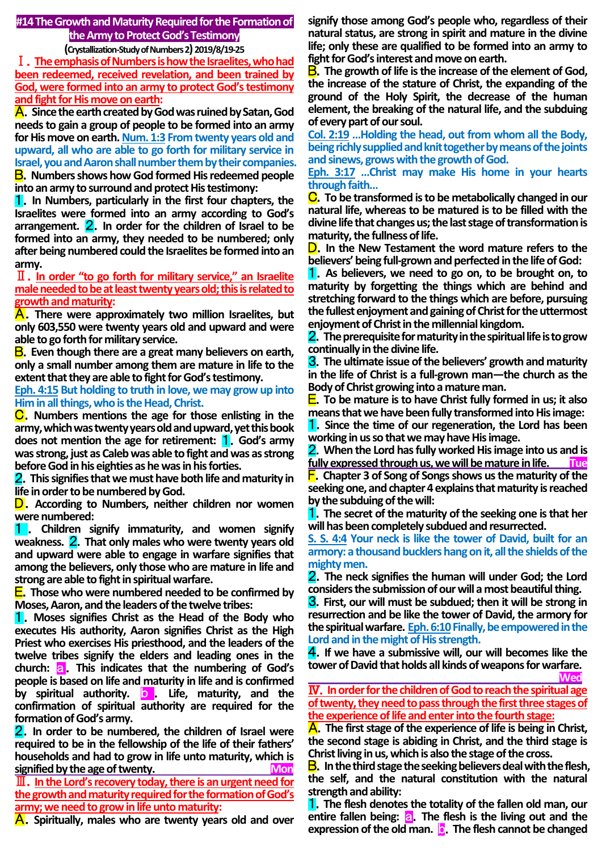**#14 The Growth and Maturity Required for the Formation of the Army to Protect God's Testimony**

**(Crystallization-Study of Numbers 2) 2019/8/19-25**

Ⅰ.**The emphasis of Numbers is how the Israelites, who had been redeemed, received revelation, and been trained by God, were formed into an army to protect God's testimony and fight for His move on earth:**

A.**Since the earth created by God was ruined by Satan, God needs to gain a group of people to be formed into an army for His move on earth. Num. 1:3 From twenty years old and upward, all who are able to go forth for military service in Israel, you and Aaron shall number them by their companies.** B.**Numbers shows how God formed His redeemed people into an army to surround and protect His testimony:**

1.**In Numbers, particularly in the first four chapters, the Israelites were formed into an army according to God's arrangement.** 2.**In order for the children of Israel to be formed into an army, they needed to be numbered; only after being numbered could the Israelites be formed into an army.**

Ⅱ.**In order "to go forth for military service," an Israelite male needed to be at least twenty years old; this is related to growth and maturity:**

A.**There were approximately two million Israelites, but only 603,550 were twenty years old and upward and were able to go forth for military service.**

B.**Even though there are a great many believers on earth, only a small number among them are mature in life to the extent that they are able to fight for God's testimony.** 

**Eph. 4:15 But holding to truth in love, we may grow up into Him in all things, who is the Head, Christ.**

C.**Numbers mentions the age for those enlisting in the army, which was twenty years old and upward, yet this book does not mention the age for retirement:** 1.**God's army was strong, just as Caleb was able to fight and was as strong before God in his eighties as he was in his forties.**

2.**This signifies that we must have both life and maturity in life in order to be numbered by God.**

D.**According to Numbers, neither children nor women were numbered:**

1 . **Children signify immaturity, and women signify weakness.** 2.**That only males who were twenty years old and upward were able to engage in warfare signifies that among the believers, only those who are mature in life and strong are able to fight in spiritual warfare.**

E.**Those who were numbered needed to be confirmed by Moses, Aaron, and the leaders of the twelve tribes:** 

1.**Moses signifies Christ as the Head of the Body who executes His authority, Aaron signifies Christ as the High Priest who exercises His priesthood, and the leaders of the twelve tribes signify the elders and leading ones in the church:** a.**This indicates that the numbering of God's people is based on life and maturity in life and is confirmed by spiritual authority.** b . **Life, maturity, and the confirmation of spiritual authority are required for the formation of God's army.**

2.**In order to be numbered, the children of Israel were required to be in the fellowship of the life of their fathers' households and had to grow in life unto maturity, which is signified by the age of twenty.** Mon

Ⅲ.**In the Lord's recovery today, there is an urgent need for the growth and maturity required for the formation of God's army; we need to grow in life unto maturity:** 

A.**Spiritually, males who are twenty years old and over** 

**signify those among God's people who, regardless of their natural status, are strong in spirit and mature in the divine life; only these are qualified to be formed into an army to fight for God's interest and move on earth.**

B.**The growth of life is the increase of the element of God, the increase of the stature of Christ, the expanding of the ground of the Holy Spirit, the decrease of the human element, the breaking of the natural life, and the subduing of every part of our soul.**

**Col. 2:19 …Holding the head, out from whom all the Body, being richly supplied and knit together by means of the joints and sinews, grows with the growth of God.**

**Eph. 3:17 …Christ may make His home in your hearts through faith…**

C.**To be transformed is to be metabolically changed in our natural life, whereas to be matured is to be filled with the divine life that changes us; the last stage of transformation is maturity, the fullness of life.**

D.**In the New Testament the word mature refers to the believers' being full-grown and perfected in the life of God:**

1.**As believers, we need to go on, to be brought on, to maturity by forgetting the things which are behind and stretching forward to the things which are before, pursuing the fullest enjoyment and gaining of Christ for the uttermost enjoyment of Christ in the millennial kingdom.**

2.**The prerequisite for maturity in the spiritual life is to grow continually in the divine life.**

3.**The ultimate issue of the believers' growth and maturity in the life of Christ is a full-grown man—the church as the Body of Christ growing into a mature man.**

E.**To be mature is to have Christ fully formed in us; it also means that we have been fully transformed into His image:**

1.**Since the time of our regeneration, the Lord has been working in us so that we may have His image.**

2.**When the Lord has fully worked His image into us and is**  fully expressed through us, we will be mature in life.

F.**Chapter 3 of Song of Songs shows us the maturity of the seeking one, and chapter 4 explains that maturity is reached by the subduing of the will:**

1.**The secret of the maturity of the seeking one is that her will has been completely subdued and resurrected.** 

**S. S. 4:4 Your neck is like the tower of David, built for an armory: a thousand bucklers hang on it, all the shields of the mighty men.**

2.**The neck signifies the human will under God; the Lord considers the submission of our will a most beautiful thing.**

3.**First, our will must be subdued; then it will be strong in resurrection and be like the tower of David, the armory for the spiritual warfare. Eph. 6:10Finally, be empowered in the Lord and in the might of His strength.**

4.**If we have a submissive will, our will becomes like the tower of David that holds all kinds of weapons for warfare. Wed**

Ⅳ.**In order for the children of God to reach the spiritual age of twenty, they need to pass through the first three stages of the experience of life and enter into the fourth stage:**

A.**The first stage of the experience of life is being in Christ, the second stage is abiding in Christ, and the third stage is Christ living in us, which is also the stage of the cross.**

B.**In the third stage the seeking believers deal with the flesh, the self, and the natural constitution with the natural strength and ability:**

1.**The flesh denotes the totality of the fallen old man, our**  entire fallen being: **a.** The flesh is the living out and the expression of the old man. **b.** The flesh cannot be changed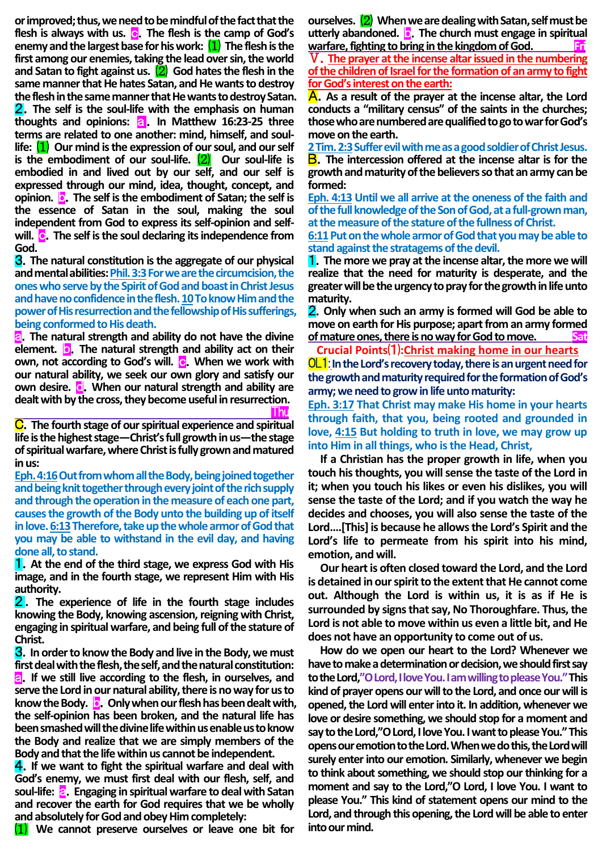**or improved; thus, we need to be mindful of the fact that the flesh is always with us. <b>c**. The flesh is the camp of God's **enemy and the largest base for his work:** ⑴ **The flesh is the first among our enemies, taking the lead over sin, the world and Satan to fight against us.** ⑵ **God hates the flesh in the same manner that He hates Satan, and He wants to destroy the flesh in the same manner that He wants to destroy Satan.** 2.**The self is the soul-life with the emphasis on human**  thoughts and opinions: **a.** In Matthew 16:23-25 three **terms are related to one another: mind, himself, and soullife:** ⑴ **Our mind is the expression of our soul, and our self is the embodiment of our soul-life.** ⑵ **Our soul-life is embodied in and lived out by our self, and our self is expressed through our mind, idea, thought, concept, and opinion. b.** The self is the embodiment of Satan; the self is **the essence of Satan in the soul, making the soul independent from God to express its self-opinion and self**will. **C**. The self is the soul declaring its independence from **God.**

3.**The natural constitution is the aggregate of our physical and mental abilities: Phil. 3:3For we are the circumcision, the ones who serve by the Spirit of God and boast in Christ Jesus and have no confidence in the flesh. 10To know Him and the power of His resurrection and the fellowship of His sufferings, being conformed to His death.**

a.**The natural strength and ability do not have the divine element. b.** The natural strength and ability act on their **own, not according to God's will. <b>c.** When we work with **our natural ability, we seek our own glory and satisfy our own desire.** d.**When our natural strength and ability are dealt with by the cross, they become useful in resurrection.** Thu and the contract of the contract of the contract of the Thu

C.**The fourth stage of our spiritual experience and spiritual life is the highest stage—Christ's full growth in us—the stage of spiritual warfare, where Christ is fully grown and matured in us:**

**Eph. 4:16Out from whom all the Body, being joined together and being knit together through every joint of the rich supply and through the operation in the measure of each one part, causes the growth of the Body unto the building up of itself in love. 6:13Therefore, take up the whole armor of God that you may be able to withstand in the evil day, and having done all, to stand.**

1.**At the end of the third stage, we express God with His image, and in the fourth stage, we represent Him with His authority.**

2 . **The experience of life in the fourth stage includes knowing the Body, knowing ascension, reigning with Christ, engaging in spiritual warfare, and being full of the stature of Christ.**

3.**In order to know the Body and live in the Body, we must first deal with the flesh, the self, and the natural constitution: a.** If we still live according to the flesh, in ourselves, and **serve the Lord in our natural ability, there is no way for us to**  know the Body. **D.** Only when our flesh has been dealt with, **the self-opinion has been broken, and the natural life has been smashed will the divine life within us enable us to know the Body and realize that we are simply members of the Body and that the life within us cannot be independent.**

4.**If we want to fight the spiritual warfare and deal with God's enemy, we must first deal with our flesh, self, and soul-life: a.** Engaging in spiritual warfare to deal with Satan **and recover the earth for God requires that we be wholly and absolutely for God and obey Him completely:**

⑴ **We cannot preserve ourselves or leave one bit for** 

**ourselves.** ⑵ **When we are dealing with Satan, self must be utterly abandoned. b.** The church must engage in spiritual **warfare, fighting to bring in the kingdom of God.** 

Ⅴ.**The prayer at the incense altar issued in the numbering of the children of Israel for the formation of an army to fight for God's interest on the earth:**

A.**As a result of the prayer at the incense altar, the Lord conducts a "military census" of the saints in the churches; those who are numbered are qualified to go to war for God's move on the earth.**

**2 Tim. 2:3Suffer evil with me as a good soldier of Christ Jesus.** B.**The intercession offered at the incense altar is for the growth and maturity of the believers so that an army can be formed:** 

**Eph. 4:13 Until we all arrive at the oneness of the faith and of the full knowledge of the Son of God, at a full-grown man, at the measure of the stature of the fullness of Christ.**

**6:11Put on the whole armor of God that you may be able to stand against the stratagems of the devil.**

1.**The more we pray at the incense altar, the more we will realize that the need for maturity is desperate, and the greater will be the urgency to pray for thegrowth in life unto maturity.**

2.**Only when such an army is formed will God be able to move on earth for His purpose; apart from an army formed of mature ones, there is no way for God to move. Sat**

**Crucial Points**⑴**:Christ making home in our hearts** OL1:**In the Lord's recovery today, there is an urgent need for the growth and maturity required for the formation of God's army; we need to grow in life unto maturity:**

**Eph. 3:17 That Christ may make His home in your hearts through faith, that you, being rooted and grounded in love, 4:15 But holding to truth in love, we may grow up into Him in all things, who is the Head, Christ,**

**If a Christian has the proper growth in life, when you touch his thoughts, you will sense the taste of the Lord in it; when you touch his likes or even his dislikes, you will sense the taste of the Lord; and if you watch the way he decides and chooses, you will also sense the taste of the Lord….[This] is because he allows the Lord's Spirit and the Lord's life to permeate from his spirit into his mind, emotion, and will.**

**Our heart is often closed toward the Lord, and the Lord is detained in our spirit to the extent that He cannot come out. Although the Lord is within us, it is as if He is surrounded by signs that say, No Thoroughfare. Thus, the Lord is not able to move within us even a little bit, and He does not have an opportunity to come out of us.**

**How do we open our heart to the Lord? Whenever we have to make a determination or decision, we should first say to the Lord,"O Lord, I love You. I am willing to please You."This kind of prayer opens our will to the Lord, and once our will is opened, the Lord will enter into it. In addition, whenever we love or desire something, we should stop for a moment and say to the Lord,"O Lord, I love You. I want to please You." This opens our emotion to the Lord. When we do this, the Lord will surely enter into our emotion. Similarly, whenever we begin to think about something, we should stop our thinking for a moment and say to the Lord,"O Lord, I love You. I want to please You." This kind of statement opens our mind to the Lord, and through this opening, the Lord will be able to enter into our mind.**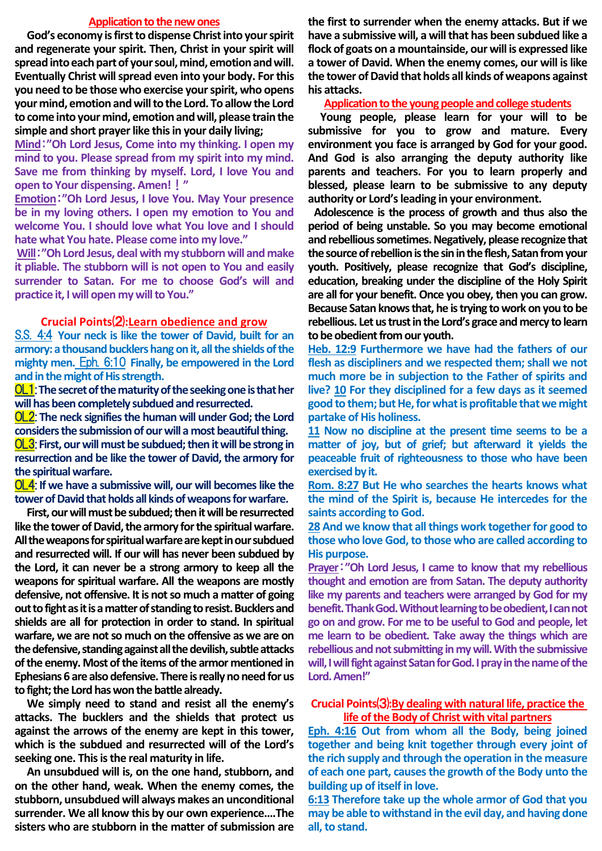## **Application to the new ones**

**God's economy is first to dispense Christ into your spirit and regenerate your spirit. Then, Christ in your spirit will spreadinto each part of your soul, mind, emotion and will. Eventually Christ will spread even into your body. For this you need to be those who exercise your spirit, who opens your mind, emotion and will to the Lord. To allow the Lord to come into your mind, emotion and will, please train the simple and short prayer like this in your daily living;** 

**Mind**:**"Oh Lord Jesus, Come into my thinking. I open my mind to you. Please spread from my spirit into my mind. Save me from thinking by myself. Lord, I love You and open to Your dispensing. Amen!**!**"**

**Emotion**:**"Oh Lord Jesus, I love You. May Your presence be in my loving others. I open my emotion to You and welcome You. I should love what You love and I should hate what You hate. Please come into my love."**

**Will**:**"Oh Lord Jesus, deal with my stubborn will and make it pliable. The stubborn will is not open to You and easily surrender to Satan. For me to choose God's will and practice it, I will open my will to You."**

## **Crucial Points**⑵**:Learn obedience and grow**

S.S. 4:4 **Your neck is like the tower of David, built for an armory: a thousand bucklers hang on it, all the shields of the mighty men.** Eph. 6:10 **Finally, be empowered in the Lord and in the might of His strength.**

OL1:**The secret of the maturity of the seeking one is that her will has been completely subdued and resurrected.**

OL2: **The neck signifies the human will under God; the Lord considers the submission of our will a most beautiful thing.**

OL3: **First, our will must be subdued; then it will be strong in resurrection and be like the tower of David, the armory for the spiritual warfare.**

OL4: **If we have a submissive will, our will becomes like the tower of David that holds all kinds of weapons for warfare.**

**First, our will must be subdued; then it will be resurrected like the tower of David, the armory for the spiritual warfare. All the weapons for spiritual warfare are kept in our subdued and resurrected will. If our will has never been subdued by the Lord, it can never be a strong armory to keep all the weapons for spiritual warfare. All the weapons are mostly defensive, not offensive. It is not so much a matter of going out to fight as it is a matter of standing to resist. Bucklers and shields are all for protection in order to stand. In spiritual warfare, we are not so much on the offensive as we are on the defensive, standing against all the devilish, subtle attacks of the enemy. Most of the items of the armor mentioned in Ephesians 6 are also defensive. There is really no need for us to fight; the Lord has won the battle already.**

**We simply need to stand and resist all the enemy's attacks. The bucklers and the shields that protect us against the arrows of the enemy are kept in this tower, which is the subdued and resurrected will of the Lord's seeking one. This is the real maturity in life.**

**An unsubdued will is, on the one hand, stubborn, and on the other hand, weak. When the enemy comes, the stubborn, unsubdued will always makes an unconditional surrender. We all know this by our own experience….The sisters who are stubborn in the matter of submission are** 

**the first to surrender when the enemy attacks. But if we have a submissive will, a will that has been subdued like a flock of goats on a mountainside, our will is expressed like a tower of David. When the enemy comes, our will is like the tower of David that holds all kinds of weapons against his attacks.** 

## **Application to the young people and college students**

**Young people, please learn for your will to be submissive for you to grow and mature. Every environment you face is arranged by God for your good. And God is also arranging the deputy authority like parents and teachers. For you to learn properly and blessed, please learn to be submissive to any deputy authority or Lord's leading in your environment.**

**Adolescence is the process of growth and thus also the period of being unstable. So you may become emotional and rebellious sometimes. Negatively, please recognize that the source of rebellion is the sin in the flesh, Satan from your youth. Positively, please recognize that God's discipline, education, breaking under the discipline of the Holy Spirit are all for your benefit. Once you obey, then you can grow. Because Satan knows that, he is trying to work on you to be rebellious. Let us trust in the Lord's grace and mercy to learn to be obedient from our youth.** 

**Heb. 12:9 Furthermore we have had the fathers of our flesh as discipliners and we respected them; shall we not much more be in subjection to the Father of spirits and live? 10 For they disciplined for a few days as it seemed good to them; but He, for what is profitable that we might partake of His holiness.** 

**11 Now no discipline at the present time seems to be a matter of joy, but of grief; but afterward it yields the peaceable fruit of righteousness to those who have been exercised by it.** 

**Rom. 8:27 But He who searches the hearts knows what the mind of the Spirit is, because He intercedes for the saints according to God.** 

**28 And we know that all things work together for good to those who love God, to those who are called according to His purpose.** 

**Prayer**:**"Oh Lord Jesus, I came to know that my rebellious thought and emotion are from Satan. The deputy authority like my parents and teachers were arranged by God for my benefit. Thank God. Without learning to be obedient, I can not go on and grow. For me to be useful to God and people, let me learn to be obedient. Take away the things which are rebellious and not submitting in my will. With the submissive will, I will fight against Satan for God. I pray in the name of the Lord. Amen!"** 

## **Crucial Points**⑶**:By dealing with natural life, practice the life of the Body of Christ with vital partners**

**Eph. 4:16 Out from whom all the Body, being joined together and being knit together through every joint of the rich supply and through the operation in the measure of each one part, causes the growth of the Body unto the building up of itself in love.** 

**6:13 Therefore take up the whole armor of God that you may be able to withstand in the evil day, and having done all, to stand.**